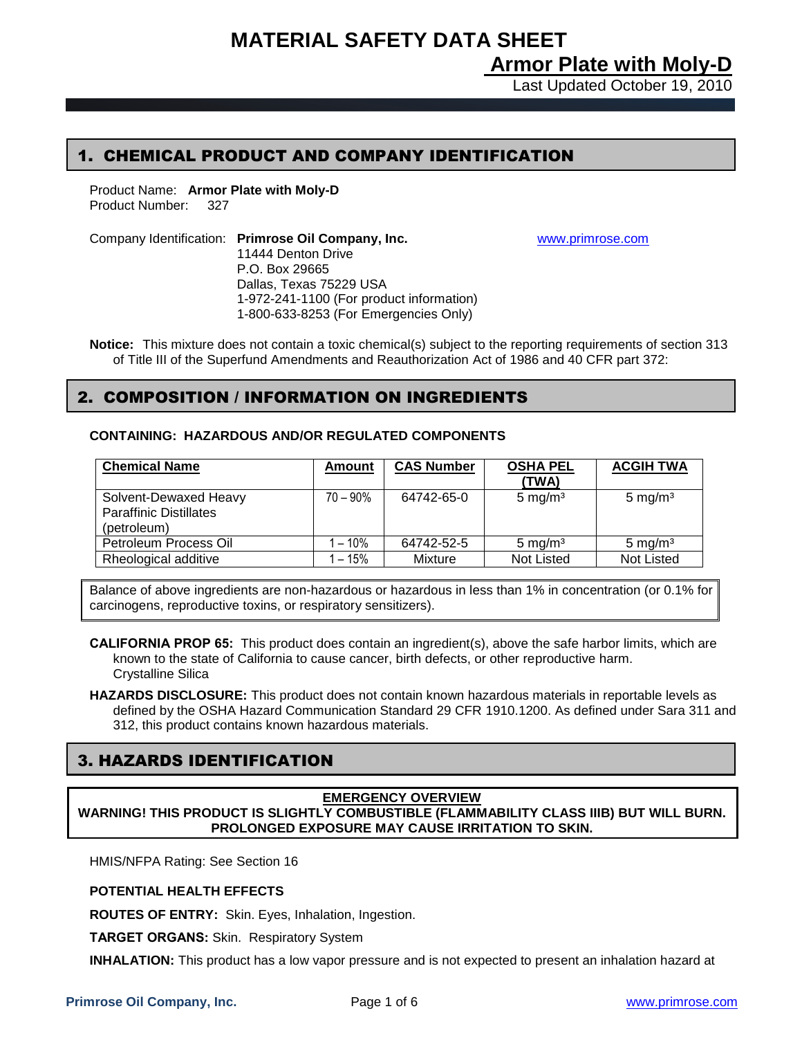# **MATERIAL SAFETY DATA SHEET**

**Armor Plate with Moly-D**

Last Updated October 19, 2010

# 1. CHEMICAL PRODUCT AND COMPANY IDENTIFICATION

Product Name: **Armor Plate with Moly-D** Product Number: 327

Company Identification: **Primrose Oil Company, Inc.** [www.primrose.com](http://www.primrose.com/) 11444 Denton Drive P.O. Box 29665 Dallas, Texas 75229 USA 1-972-241-1100 (For product information) 1-800-633-8253 (For Emergencies Only)

**Notice:** This mixture does not contain a toxic chemical(s) subject to the reporting requirements of section 313 of Title III of the Superfund Amendments and Reauthorization Act of 1986 and 40 CFR part 372:

### 2. COMPOSITION / INFORMATION ON INGREDIENTS

**CONTAINING: HAZARDOUS AND/OR REGULATED COMPONENTS**

| <b>Chemical Name</b>                                                  | Amount      | <b>CAS Number</b> | <b>OSHA PEL</b><br>(TWA) | <b>ACGIH TWA</b>   |
|-----------------------------------------------------------------------|-------------|-------------------|--------------------------|--------------------|
| Solvent-Dewaxed Heavy<br><b>Paraffinic Distillates</b><br>(petroleum) | $70 - 90\%$ | 64742-65-0        | $5 \text{ mg/m}^3$       | $5 \text{ mg/m}^3$ |
| Petroleum Process Oil                                                 | 1 – 10%     | 64742-52-5        | $5 \text{ mg/m}^3$       | $5 \text{ mg/m}^3$ |
| Rheological additive                                                  | $-15%$      | Mixture           | <b>Not Listed</b>        | Not Listed         |

Balance of above ingredients are non-hazardous or hazardous in less than 1% in concentration (or 0.1% for carcinogens, reproductive toxins, or respiratory sensitizers).

**CALIFORNIA PROP 65:** This product does contain an ingredient(s), above the safe harbor limits, which are known to the state of California to cause cancer, birth defects, or other reproductive harm. Crystalline Silica

**HAZARDS DISCLOSURE:** This product does not contain known hazardous materials in reportable levels as defined by the OSHA Hazard Communication Standard 29 CFR 1910.1200. As defined under Sara 311 and 312, this product contains known hazardous materials.

# 3. HAZARDS IDENTIFICATION

### **EMERGENCY OVERVIEW WARNING! THIS PRODUCT IS SLIGHTLY COMBUSTIBLE (FLAMMABILITY CLASS IIIB) BUT WILL BURN. PROLONGED EXPOSURE MAY CAUSE IRRITATION TO SKIN.**

HMIS/NFPA Rating: See Section 16

### **POTENTIAL HEALTH EFFECTS**

**ROUTES OF ENTRY:** Skin. Eyes, Inhalation, Ingestion.

**TARGET ORGANS:** Skin. Respiratory System

**INHALATION:** This product has a low vapor pressure and is not expected to present an inhalation hazard at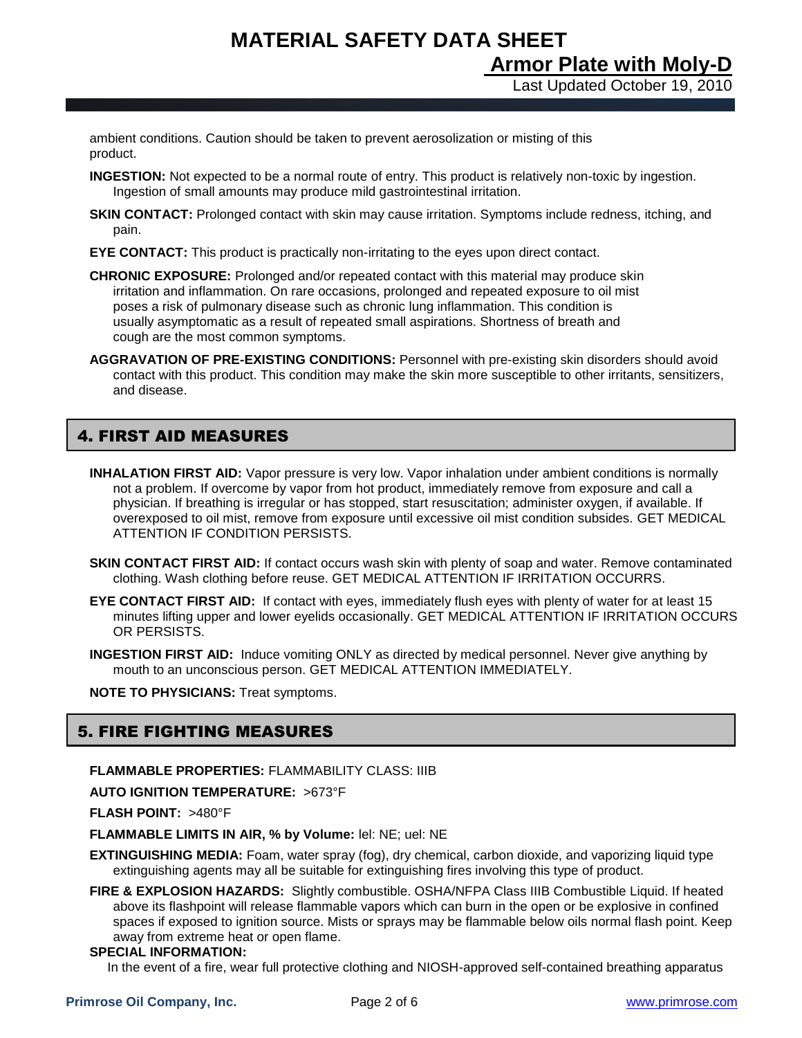**MATERIAL SAFETY DATA SHEET Armor Plate with Moly-D**

Last Updated October 19, 2010

ambient conditions. Caution should be taken to prevent aerosolization or misting of this product.

- **INGESTION:** Not expected to be a normal route of entry. This product is relatively non-toxic by ingestion. Ingestion of small amounts may produce mild gastrointestinal irritation.
- **SKIN CONTACT:** Prolonged contact with skin may cause irritation. Symptoms include redness, itching, and pain.
- **EYE CONTACT:** This product is practically non-irritating to the eyes upon direct contact.
- **CHRONIC EXPOSURE:** Prolonged and/or repeated contact with this material may produce skin irritation and inflammation. On rare occasions, prolonged and repeated exposure to oil mist poses a risk of pulmonary disease such as chronic lung inflammation. This condition is usually asymptomatic as a result of repeated small aspirations. Shortness of breath and cough are the most common symptoms.
- **AGGRAVATION OF PRE-EXISTING CONDITIONS:** Personnel with pre-existing skin disorders should avoid contact with this product. This condition may make the skin more susceptible to other irritants, sensitizers, and disease.

# 4. FIRST AID MEASURES

- **INHALATION FIRST AID:** Vapor pressure is very low. Vapor inhalation under ambient conditions is normally not a problem. If overcome by vapor from hot product, immediately remove from exposure and call a physician. If breathing is irregular or has stopped, start resuscitation; administer oxygen, if available. If overexposed to oil mist, remove from exposure until excessive oil mist condition subsides. GET MEDICAL ATTENTION IF CONDITION PERSISTS.
- **SKIN CONTACT FIRST AID:** If contact occurs wash skin with plenty of soap and water. Remove contaminated clothing. Wash clothing before reuse. GET MEDICAL ATTENTION IF IRRITATION OCCURRS.
- **EYE CONTACT FIRST AID:** If contact with eyes, immediately flush eyes with plenty of water for at least 15 minutes lifting upper and lower eyelids occasionally. GET MEDICAL ATTENTION IF IRRITATION OCCURS OR PERSISTS.
- **INGESTION FIRST AID:** Induce vomiting ONLY as directed by medical personnel. Never give anything by mouth to an unconscious person. GET MEDICAL ATTENTION IMMEDIATELY.

**NOTE TO PHYSICIANS:** Treat symptoms.

# 5. FIRE FIGHTING MEASURES

**FLAMMABLE PROPERTIES:** FLAMMABILITY CLASS: IIIB

**AUTO IGNITION TEMPERATURE:** >673°F

**FLASH POINT:** >480°F

**FLAMMABLE LIMITS IN AIR, % by Volume:** lel: NE; uel: NE

- **EXTINGUISHING MEDIA:** Foam, water spray (fog), dry chemical, carbon dioxide, and vaporizing liquid type extinguishing agents may all be suitable for extinguishing fires involving this type of product.
- **FIRE & EXPLOSION HAZARDS:** Slightly combustible. OSHA/NFPA Class IIIB Combustible Liquid. If heated above its flashpoint will release flammable vapors which can burn in the open or be explosive in confined spaces if exposed to ignition source. Mists or sprays may be flammable below oils normal flash point. Keep away from extreme heat or open flame.

### **SPECIAL INFORMATION:**

In the event of a fire, wear full protective clothing and NIOSH-approved self-contained breathing apparatus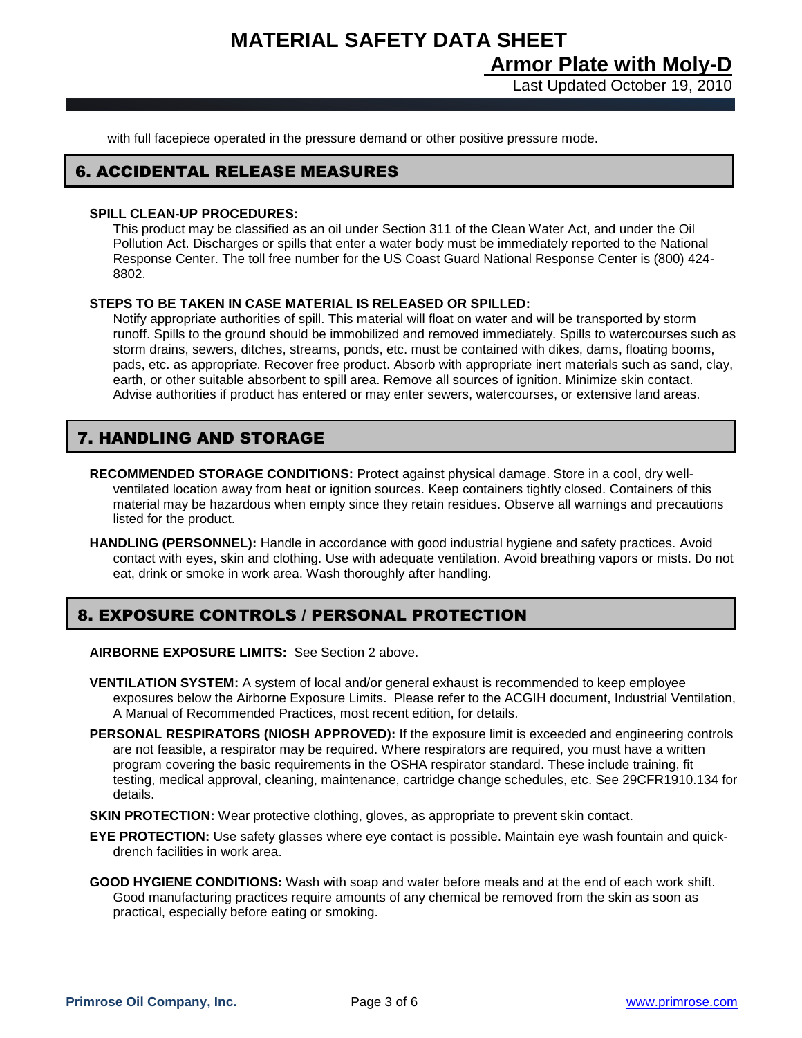**MATERIAL SAFETY DATA SHEET Armor Plate with Moly-D**

Last Updated October 19, 2010

with full facepiece operated in the pressure demand or other positive pressure mode.

### 6. ACCIDENTAL RELEASE MEASURES

#### **SPILL CLEAN-UP PROCEDURES:**

This product may be classified as an oil under Section 311 of the Clean Water Act, and under the Oil Pollution Act. Discharges or spills that enter a water body must be immediately reported to the National Response Center. The toll free number for the US Coast Guard National Response Center is (800) 424- 8802.

#### **STEPS TO BE TAKEN IN CASE MATERIAL IS RELEASED OR SPILLED:**

Notify appropriate authorities of spill. This material will float on water and will be transported by storm runoff. Spills to the ground should be immobilized and removed immediately. Spills to watercourses such as storm drains, sewers, ditches, streams, ponds, etc. must be contained with dikes, dams, floating booms, pads, etc. as appropriate. Recover free product. Absorb with appropriate inert materials such as sand, clay, earth, or other suitable absorbent to spill area. Remove all sources of ignition. Minimize skin contact. Advise authorities if product has entered or may enter sewers, watercourses, or extensive land areas.

# 7. HANDLING AND STORAGE

- **RECOMMENDED STORAGE CONDITIONS:** Protect against physical damage. Store in a cool, dry wellventilated location away from heat or ignition sources. Keep containers tightly closed. Containers of this material may be hazardous when empty since they retain residues. Observe all warnings and precautions listed for the product.
- **HANDLING (PERSONNEL):** Handle in accordance with good industrial hygiene and safety practices. Avoid contact with eyes, skin and clothing. Use with adequate ventilation. Avoid breathing vapors or mists. Do not eat, drink or smoke in work area. Wash thoroughly after handling.

### 8. EXPOSURE CONTROLS / PERSONAL PROTECTION

**AIRBORNE EXPOSURE LIMITS:** See Section 2 above.

- **VENTILATION SYSTEM:** A system of local and/or general exhaust is recommended to keep employee exposures below the Airborne Exposure Limits. Please refer to the ACGIH document, Industrial Ventilation, A Manual of Recommended Practices, most recent edition, for details.
- **PERSONAL RESPIRATORS (NIOSH APPROVED):** If the exposure limit is exceeded and engineering controls are not feasible, a respirator may be required. Where respirators are required, you must have a written program covering the basic requirements in the OSHA respirator standard. These include training, fit testing, medical approval, cleaning, maintenance, cartridge change schedules, etc. See 29CFR1910.134 for details.
- **SKIN PROTECTION:** Wear protective clothing, gloves, as appropriate to prevent skin contact.
- **EYE PROTECTION:** Use safety glasses where eye contact is possible. Maintain eye wash fountain and quickdrench facilities in work area.
- **GOOD HYGIENE CONDITIONS:** Wash with soap and water before meals and at the end of each work shift. Good manufacturing practices require amounts of any chemical be removed from the skin as soon as practical, especially before eating or smoking.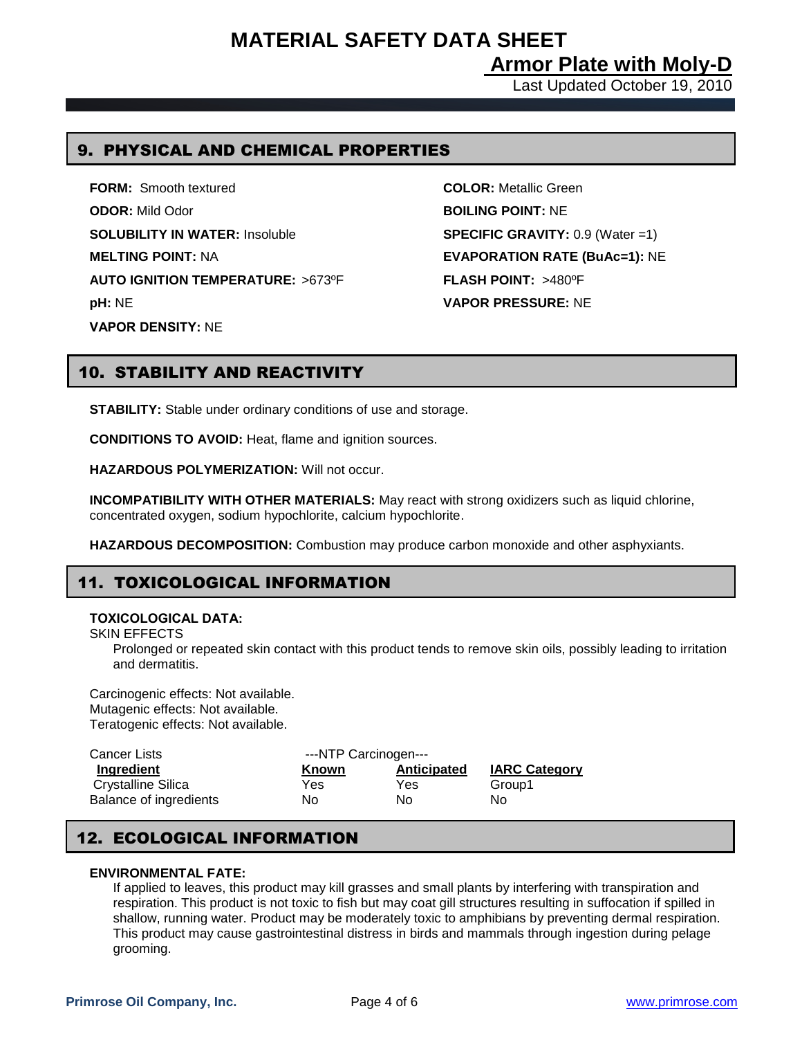**Armor Plate with Moly-D**

Last Updated October 19, 2010

## 9. PHYSICAL AND CHEMICAL PROPERTIES

**FORM:** Smooth textured **COLOR:** Metallic Green **ODOR:** Mild Odor **BOILING POINT:** NE **SOLUBILITY IN WATER:** Insoluble **SPECIFIC GRAVITY:** 0.9 (Water =1) **MELTING POINT:** NA **EVAPORATION RATE (BuAc=1):** NE **AUTO IGNITION TEMPERATURE:** >673ºF **FLASH POINT:** >480ºF **pH:** NE **VAPOR PRESSURE:** NE **VAPOR DENSITY:** NE

# 10. STABILITY AND REACTIVITY

**STABILITY:** Stable under ordinary conditions of use and storage.

**CONDITIONS TO AVOID:** Heat, flame and ignition sources.

**HAZARDOUS POLYMERIZATION:** Will not occur.

**INCOMPATIBILITY WITH OTHER MATERIALS:** May react with strong oxidizers such as liquid chlorine, concentrated oxygen, sodium hypochlorite, calcium hypochlorite.

**HAZARDOUS DECOMPOSITION:** Combustion may produce carbon monoxide and other asphyxiants.

# 11. TOXICOLOGICAL INFORMATION

### **TOXICOLOGICAL DATA:**

SKIN EFFECTS

Prolonged or repeated skin contact with this product tends to remove skin oils, possibly leading to irritation and dermatitis.

Carcinogenic effects: Not available. Mutagenic effects: Not available. Teratogenic effects: Not available.

| Cancer Lists           | ---NTP Carcinogen--- |             |                      |  |  |
|------------------------|----------------------|-------------|----------------------|--|--|
| Ingredient             | <b>Known</b>         | Anticipated | <b>IARC Category</b> |  |  |
| Crystalline Silica     | Yes                  | Yes         | Group1               |  |  |
| Balance of ingredients | No                   | No          | No                   |  |  |

# 12. ECOLOGICAL INFORMATION

### **ENVIRONMENTAL FATE:**

If applied to leaves, this product may kill grasses and small plants by interfering with transpiration and respiration. This product is not toxic to fish but may coat gill structures resulting in suffocation if spilled in shallow, running water. Product may be moderately toxic to amphibians by preventing dermal respiration. This product may cause gastrointestinal distress in birds and mammals through ingestion during pelage grooming.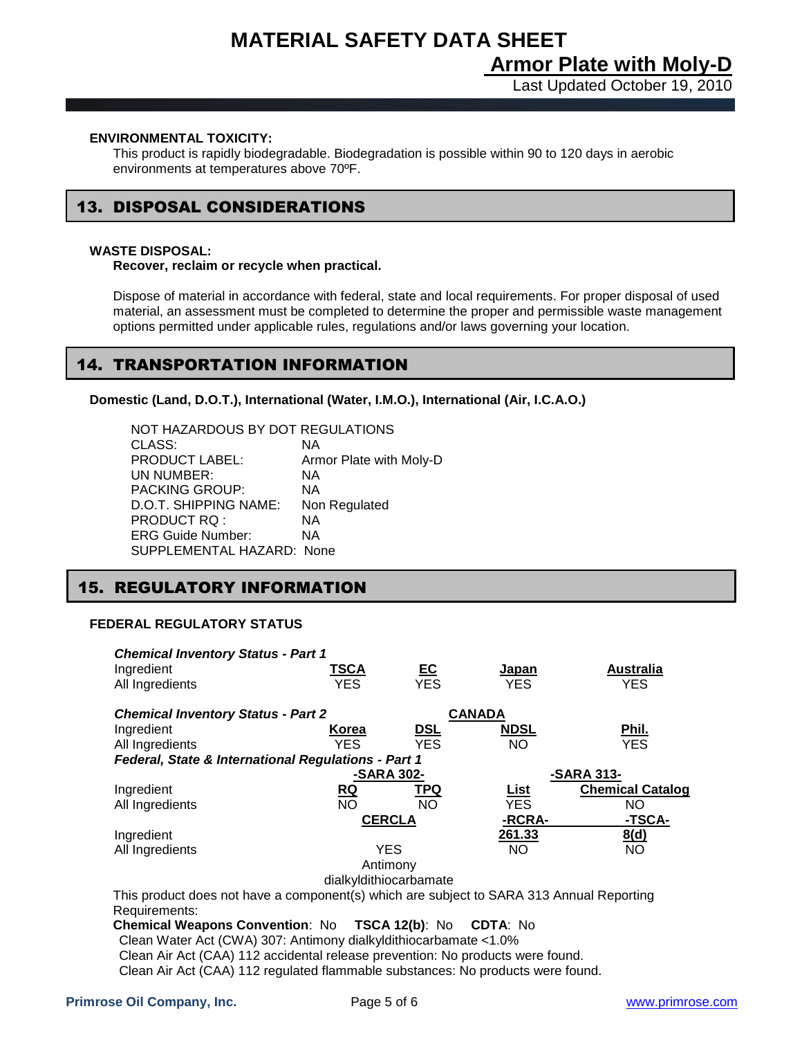# **MATERIAL SAFETY DATA SHEET Armor Plate with Moly-D**

Last Updated October 19, 2010

#### **ENVIRONMENTAL TOXICITY:**

This product is rapidly biodegradable. Biodegradation is possible within 90 to 120 days in aerobic environments at temperatures above 70ºF.

# 13. DISPOSAL CONSIDERATIONS

#### **WASTE DISPOSAL:**

Ι

**Recover, reclaim or recycle when practical.**

Dispose of material in accordance with federal, state and local requirements. For proper disposal of used material, an assessment must be completed to determine the proper and permissible waste management options permitted under applicable rules, regulations and/or laws governing your location.

### 14. TRANSPORTATION INFORMATION

**Domestic (Land, D.O.T.), International (Water, I.M.O.), International (Air, I.C.A.O.)**

NOT HAZARDOUS BY DOT REGULATIONS CLASS: NA PRODUCT LABEL: Armor Plate with Moly-D UN NUMBER: NA PACKING GROUP: NA D.O.T. SHIPPING NAME: Non Regulated PRODUCT RQ : NA ERG Guide Number: NA SUPPLEMENTAL HAZARD: None

### 15. REGULATORY INFORMATION

### **FEDERAL REGULATORY STATUS**

| <b>Chemical Inventory Status - Part 1</b>                                                |                                           |            |               |                         |  |
|------------------------------------------------------------------------------------------|-------------------------------------------|------------|---------------|-------------------------|--|
| Ingredient                                                                               | TSCA                                      | <u>EC</u>  | Japan         | <b>Australia</b>        |  |
| All Ingredients                                                                          | YES.                                      | <b>YES</b> | <b>YES</b>    | <b>YES</b>              |  |
|                                                                                          |                                           |            |               |                         |  |
|                                                                                          | <b>Chemical Inventory Status - Part 2</b> |            | <b>CANADA</b> |                         |  |
| Ingredient                                                                               | Korea                                     | <u>DSL</u> | <b>NDSL</b>   | Phil.                   |  |
| All Ingredients                                                                          | YES.                                      | <b>YES</b> | NO.           | <b>YES</b>              |  |
| Federal, State & International Regulations - Part 1                                      |                                           |            |               |                         |  |
|                                                                                          | -SARA 302-                                |            |               | -SARA 313-              |  |
| Ingredient                                                                               | <u>RQ</u>                                 | TPQ        | <u>List</u>   | <b>Chemical Catalog</b> |  |
| All Ingredients                                                                          | <b>NO</b>                                 | <b>NO</b>  | YES.          | NO.                     |  |
| <b>CERCLA</b>                                                                            |                                           |            | -RCRA-        | -TSCA-                  |  |
| Ingredient                                                                               |                                           |            | 261.33        | 8(d)                    |  |
| All Ingredients                                                                          | <b>YES</b>                                |            | NO.           | NO.                     |  |
|                                                                                          |                                           | Antimony   |               |                         |  |
|                                                                                          | dialkyldithiocarbamate                    |            |               |                         |  |
| This product does not have a component(s) which are subject to SARA 313 Annual Reporting |                                           |            |               |                         |  |
| Requirements:                                                                            |                                           |            |               |                         |  |
|                                                                                          |                                           |            |               |                         |  |
| <b>Chemical Weapons Convention: No TSCA 12(b): No</b>                                    |                                           |            | CDTA: No      |                         |  |
| Clean Water Act (CWA) 307: Antimony dialkyldithiocarbamate <1.0%                         |                                           |            |               |                         |  |

Clean Air Act (CAA) 112 accidental release prevention: No products were found. Clean Air Act (CAA) 112 regulated flammable substances: No products were found.